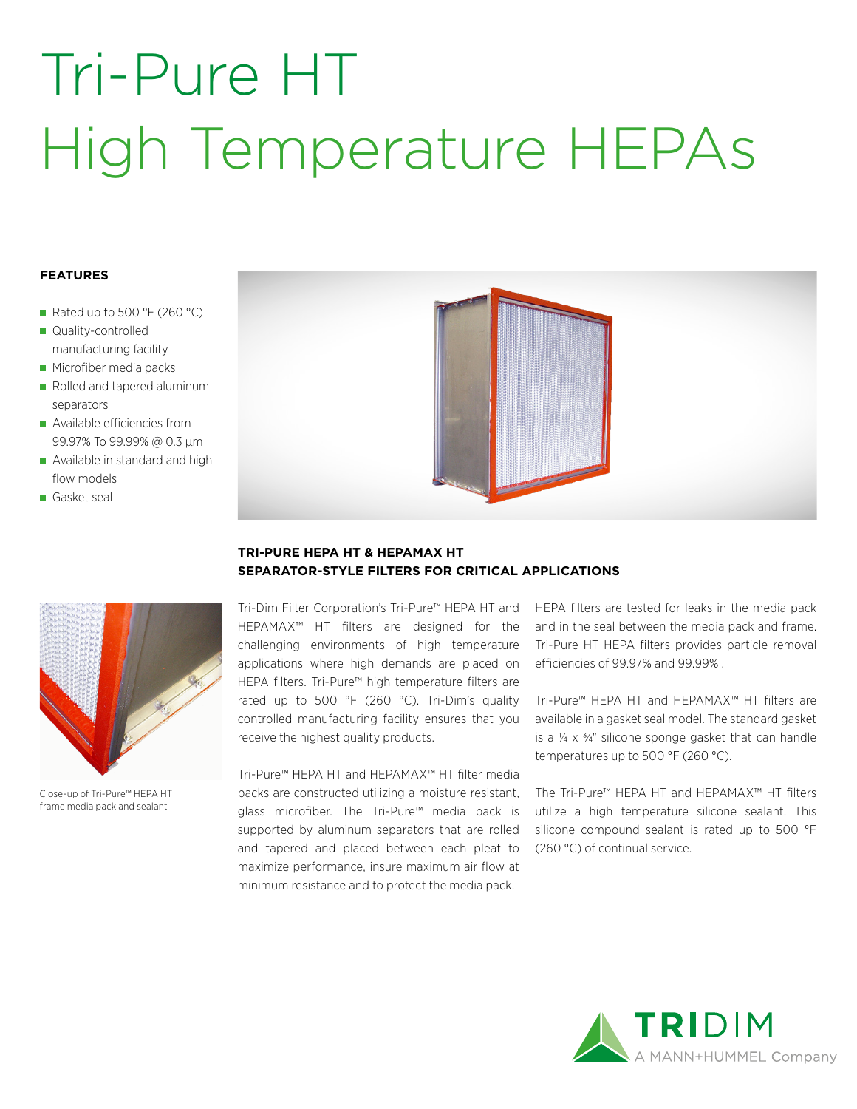# Tri-Pure HT High Temperature HEPAs

### **FEATURES**

- Rated up to 500 °F (260 °C)
- Quality-controlled manufacturing facility
- **Microfiber media packs**
- Rolled and tapered aluminum separators
- Available efficiencies from 99.97% To 99.99% @ 0.3 µm
- Available in standard and high flow models
- Gasket seal



Close-up of Tri-Pure™ HEPA HT frame media pack and sealant



### **TRI-PURE HEPA HT & HEPAMAX HT SEPARATOR-STYLE FILTERS FOR CRITICAL APPLICATIONS**

Tri-Dim Filter Corporation's Tri-Pure™ HEPA HT and HEPAMAX™ HT filters are designed for the challenging environments of high temperature applications where high demands are placed on HEPA filters. Tri-Pure™ high temperature filters are rated up to 500 °F (260 °C). Tri-Dim's quality controlled manufacturing facility ensures that you receive the highest quality products.

Tri-Pure™ HEPA HT and HEPAMAX™ HT filter media packs are constructed utilizing a moisture resistant, glass microfiber. The Tri-Pure™ media pack is supported by aluminum separators that are rolled and tapered and placed between each pleat to maximize performance, insure maximum air flow at minimum resistance and to protect the media pack.

HEPA filters are tested for leaks in the media pack and in the seal between the media pack and frame. Tri-Pure HT HEPA filters provides particle removal efficiencies of 99.97% and 99.99% .

Tri-Pure™ HEPA HT and HEPAMAX™ HT filters are available in a gasket seal model. The standard gasket is a  $\frac{1}{4} \times \frac{3}{4}$ " silicone sponge gasket that can handle temperatures up to 500 °F (260 °C).

The Tri-Pure™ HEPA HT and HEPAMAX™ HT filters utilize a high temperature silicone sealant. This silicone compound sealant is rated up to 500 °F (260 °C) of continual service.